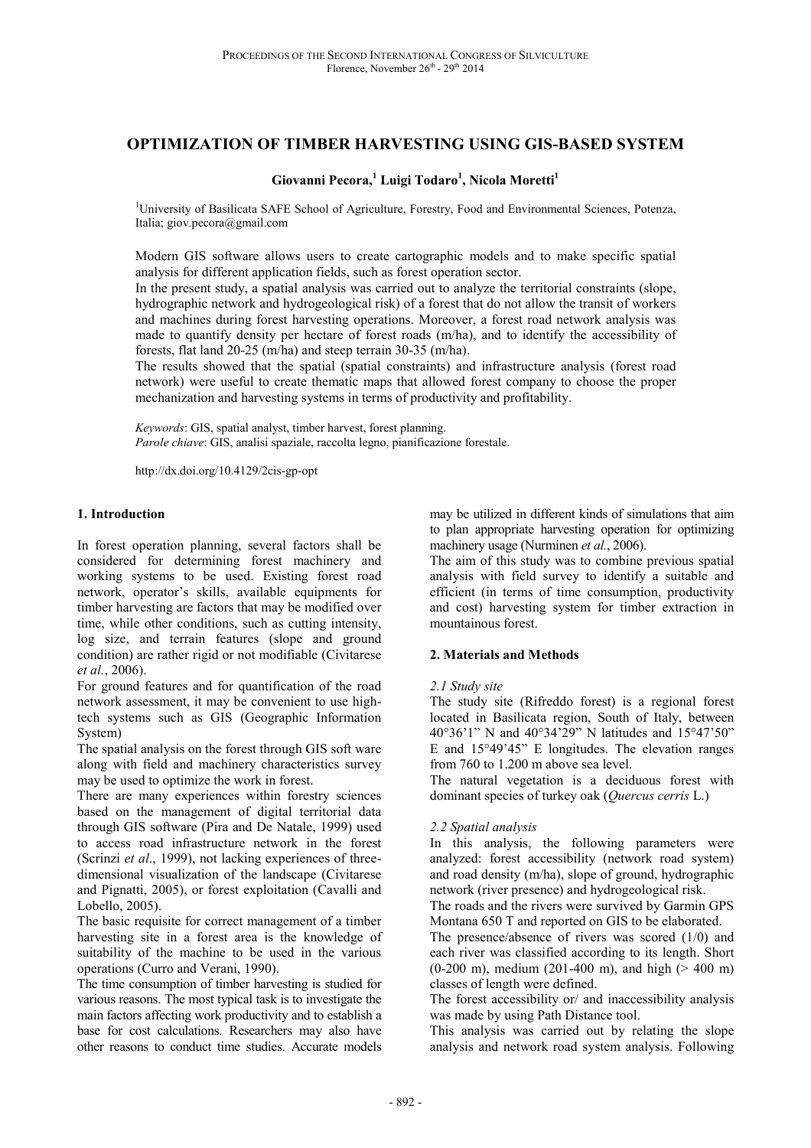# **OPTIMIZATION OF TIMBER HARVESTING USING GIS-BASED SYSTEM**

## **Giovanni Pecora,<sup>1</sup> Luigi Todaro<sup>1</sup> , Nicola Moretti<sup>1</sup>**

<sup>1</sup>University of Basilicata SAFE School of Agriculture, Forestry, Food and Environmental Sciences, Potenza, Italia; giov.pecora@gmail.com

Modern GIS software allows users to create cartographic models and to make specific spatial analysis for different application fields, such as forest operation sector.

In the present study, a spatial analysis was carried out to analyze the territorial constraints (slope, hydrographic network and hydrogeological risk) of a forest that do not allow the transit of workers and machines during forest harvesting operations. Moreover, a forest road network analysis was made to quantify density per hectare of forest roads (m/ha), and to identify the accessibility of forests, flat land 20-25 (m/ha) and steep terrain 30-35 (m/ha).

The results showed that the spatial (spatial constraints) and infrastructure analysis (forest road network) were useful to create thematic maps that allowed forest company to choose the proper mechanization and harvesting systems in terms of productivity and profitability.

*Keywords*: GIS, spatial analyst, timber harvest, forest planning. *Parole chiave*: GIS, analisi spaziale, raccolta legno, pianificazione forestale.

http://dx.doi.org/10.4129/2cis-gp-opt

#### **1. Introduction**

In forest operation planning, several factors shall be considered for determining forest machinery and working systems to be used. Existing forest road network, operator's skills, available equipments for timber harvesting are factors that may be modified over time, while other conditions, such as cutting intensity, log size, and terrain features (slope and ground condition) are rather rigid or not modifiable (Civitarese *et al.*, 2006).

For ground features and for quantification of the road network assessment, it may be convenient to use hightech systems such as GIS (Geographic Information System)

The spatial analysis on the forest through GIS soft ware along with field and machinery characteristics survey may be used to optimize the work in forest.

There are many experiences within forestry sciences based on the management of digital territorial data through GIS software (Pira and De Natale, 1999) used to access road infrastructure network in the forest (Scrinzi *et al*., 1999), not lacking experiences of threedimensional visualization of the landscape (Civitarese and Pignatti, 2005), or forest exploitation (Cavalli and Lobello, 2005).

The basic requisite for correct management of a timber harvesting site in a forest area is the knowledge of suitability of the machine to be used in the various operations (Curro and Verani, 1990).

The time consumption of timber harvesting is studied for various reasons. The most typical task is to investigate the main factors affecting work productivity and to establish a base for cost calculations. Researchers may also have other reasons to conduct time studies. Accurate models

may be utilized in different kinds of simulations that aim to plan appropriate harvesting operation for optimizing machinery usage (Nurminen *et al.*, 2006).

The aim of this study was to combine previous spatial analysis with field survey to identify a suitable and efficient (in terms of time consumption, productivity and cost) harvesting system for timber extraction in mountainous forest.

#### **2. Materials and Methods**

#### *2.1 Study site*

The study site (Rifreddo forest) is a regional forest located in Basilicata region, South of Italy, between 40°36'1" N and 40°34'29" N latitudes and 15°47'50" E and 15°49'45" E longitudes. The elevation ranges from 760 to 1.200 m above sea level.

The natural vegetation is a deciduous forest with dominant species of turkey oak (*Quercus cerris* L.)

#### *2.2 Spatial analysis*

In this analysis, the following parameters were analyzed: forest accessibility (network road system) and road density (m/ha), slope of ground, hydrographic network (river presence) and hydrogeological risk.

The roads and the rivers were survived by Garmin GPS Montana 650 T and reported on GIS to be elaborated.

The presence/absence of rivers was scored (1/0) and each river was classified according to its length. Short  $(0-200 \text{ m})$ , medium  $(201-400 \text{ m})$ , and high  $(> 400 \text{ m})$ classes of length were defined.

The forest accessibility or/ and inaccessibility analysis was made by using Path Distance tool.

This analysis was carried out by relating the slope analysis and network road system analysis. Following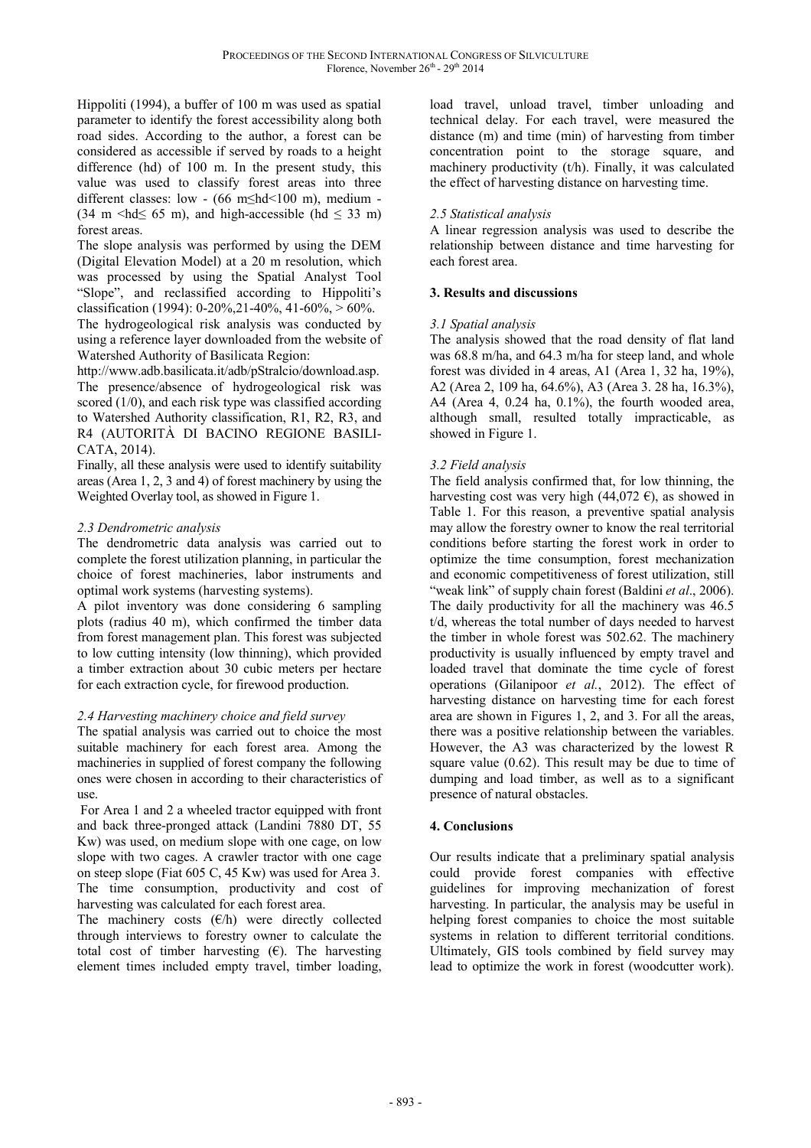Hippoliti (1994), a buffer of 100 m was used as spatial parameter to identify the forest accessibility along both road sides. According to the author, a forest can be considered as accessible if served by roads to a height difference (hd) of 100 m. In the present study, this value was used to classify forest areas into three different classes: low - (66 m≤hd<100 m), medium -  $(34 \text{ m} <$ hd $\leq 65 \text{ m}$ ), and high-accessible (hd  $\leq 33 \text{ m}$ ) forest areas.

The slope analysis was performed by using the DEM (Digital Elevation Model) at a 20 m resolution, which was processed by using the Spatial Analyst Tool "Slope", and reclassified according to Hippoliti's classification (1994): 0-20%,21-40%, 41-60%, > 60%.

The hydrogeological risk analysis was conducted by using a reference layer downloaded from the website of Watershed Authority of Basilicata Region:

http://www.adb.basilicata.it/adb/pStralcio/download.asp.

The presence/absence of hydrogeological risk was scored (1/0), and each risk type was classified according to Watershed Authority classification, R1, R2, R3, and R4 (AUTORITÀ DI BACINO REGIONE BASILI-CATA, 2014).

Finally, all these analysis were used to identify suitability areas (Area 1, 2, 3 and 4) of forest machinery by using the Weighted Overlay tool, as showed in Figure 1.

## *2.3 Dendrometric analysis*

The dendrometric data analysis was carried out to complete the forest utilization planning, in particular the choice of forest machineries, labor instruments and optimal work systems (harvesting systems).

A pilot inventory was done considering 6 sampling plots (radius 40 m), which confirmed the timber data from forest management plan. This forest was subjected to low cutting intensity (low thinning), which provided a timber extraction about 30 cubic meters per hectare for each extraction cycle, for firewood production.

## *2.4 Harvesting machinery choice and field survey*

The spatial analysis was carried out to choice the most suitable machinery for each forest area. Among the machineries in supplied of forest company the following ones were chosen in according to their characteristics of use.

 For Area 1 and 2 a wheeled tractor equipped with front and back three-pronged attack (Landini 7880 DT, 55 Kw) was used, on medium slope with one cage, on low slope with two cages. A crawler tractor with one cage on steep slope (Fiat 605 C, 45 Kw) was used for Area 3. The time consumption, productivity and cost of harvesting was calculated for each forest area.

The machinery costs  $(E/h)$  were directly collected through interviews to forestry owner to calculate the total cost of timber harvesting  $(E)$ . The harvesting element times included empty travel, timber loading,

load travel, unload travel, timber unloading and technical delay. For each travel, were measured the distance (m) and time (min) of harvesting from timber concentration point to the storage square, and machinery productivity (t/h). Finally, it was calculated the effect of harvesting distance on harvesting time.

## *2.5 Statistical analysis*

A linear regression analysis was used to describe the relationship between distance and time harvesting for each forest area.

## **3. Results and discussions**

## *3.1 Spatial analysis*

The analysis showed that the road density of flat land was 68.8 m/ha, and 64.3 m/ha for steep land, and whole forest was divided in 4 areas, A1 (Area 1, 32 ha, 19%), A2 (Area 2, 109 ha, 64.6%), A3 (Area 3. 28 ha, 16.3%), A4 (Area 4,  $0.24$  ha,  $0.1\%$ ), the fourth wooded area, although small, resulted totally impracticable, as showed in Figure 1.

## *3.2 Field analysis*

The field analysis confirmed that, for low thinning, the harvesting cost was very high (44,072  $\epsilon$ ), as showed in Table 1. For this reason, a preventive spatial analysis may allow the forestry owner to know the real territorial conditions before starting the forest work in order to optimize the time consumption, forest mechanization and economic competitiveness of forest utilization, still "weak link" of supply chain forest (Baldini *et al.*, 2006). The daily productivity for all the machinery was 46.5 t/d, whereas the total number of days needed to harvest the timber in whole forest was 502.62. The machinery productivity is usually influenced by empty travel and loaded travel that dominate the time cycle of forest operations (Gilanipoor *et al.*, 2012). The effect of harvesting distance on harvesting time for each forest area are shown in Figures 1, 2, and 3. For all the areas, there was a positive relationship between the variables. However, the A3 was characterized by the lowest R square value (0.62). This result may be due to time of dumping and load timber, as well as to a significant presence of natural obstacles.

## **4. Conclusions**

Our results indicate that a preliminary spatial analysis could provide forest companies with effective guidelines for improving mechanization of forest harvesting. In particular, the analysis may be useful in helping forest companies to choice the most suitable systems in relation to different territorial conditions. Ultimately, GIS tools combined by field survey may lead to optimize the work in forest (woodcutter work).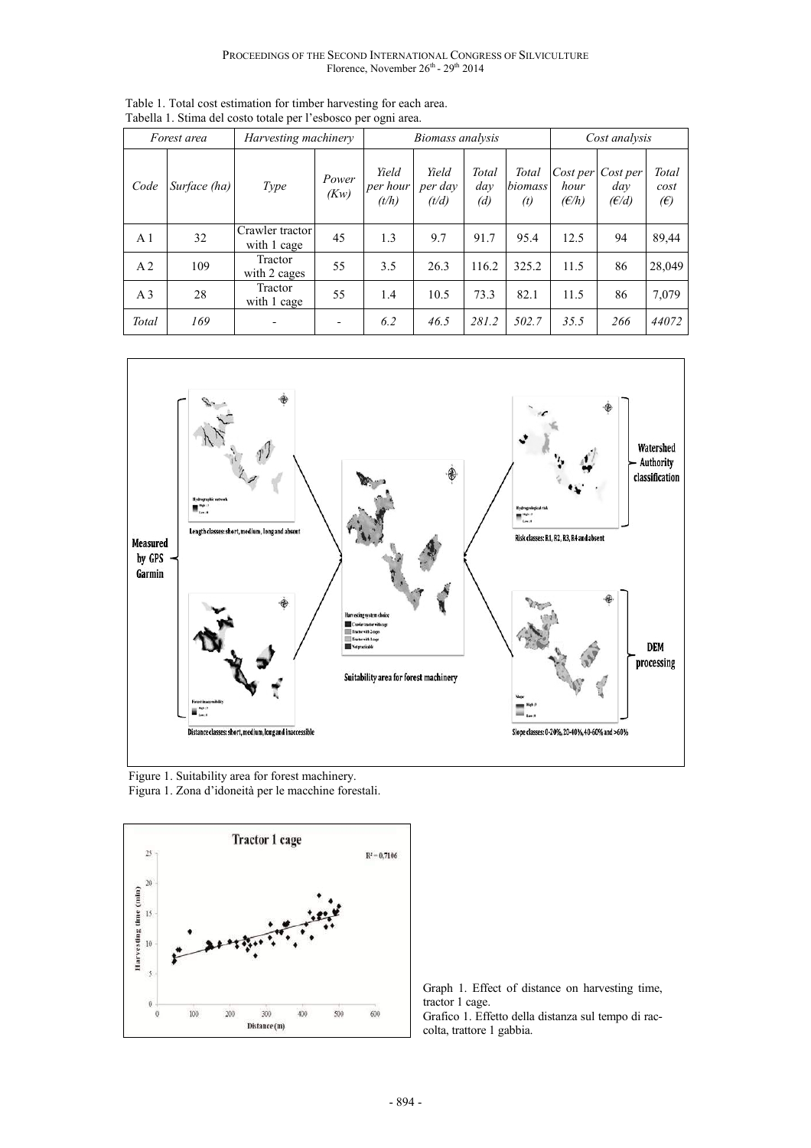| Forest area    |              | Harvesting machinery           |               | Biomass analysis           |                           |                     |                         | Cost analysis             |                          |                             |
|----------------|--------------|--------------------------------|---------------|----------------------------|---------------------------|---------------------|-------------------------|---------------------------|--------------------------|-----------------------------|
| Code           | Surface (ha) | <b>Type</b>                    | Power<br>(Kw) | Yield<br>per hour<br>(t/h) | Yield<br>per dav<br>(t/d) | Total<br>dav<br>(d) | Total<br>biomass<br>(t) | Cost per<br>hour<br>(E/h) | Cost per<br>dav<br>(E/d) | Total<br>cost<br>$\epsilon$ |
| A <sub>1</sub> | 32           | Crawler tractor<br>with 1 cage | 45            | 1.3                        | 9.7                       | 91.7                | 95.4                    | 12.5                      | 94                       | 89,44                       |
| A <sub>2</sub> | 109          | Tractor<br>with 2 cages        | 55            | 3.5                        | 26.3                      | 116.2               | 325.2                   | 11.5                      | 86                       | 28,049                      |
| A <sub>3</sub> | 28           | Tractor<br>with 1 cage         | 55            | 1.4                        | 10.5                      | 73.3                | 82.1                    | 11.5                      | 86                       | 7,079                       |
| Total          | 169          |                                |               | 6.2                        | 46.5                      | 281.2               | 502.7                   | 35.5                      | 266                      | 44072                       |

Table 1. Total cost estimation for timber harvesting for each area. Tabella 1. Stima del costo totale per l'esbosco per ogni area.



 Figure 1. Suitability area for forest machinery. Figura 1. Zona d'idoneità per le macchine forestali.



Graph 1. Effect of distance on harvesting time, tractor 1 cage.

Grafico 1. Effetto della distanza sul tempo di raccolta, trattore 1 gabbia.